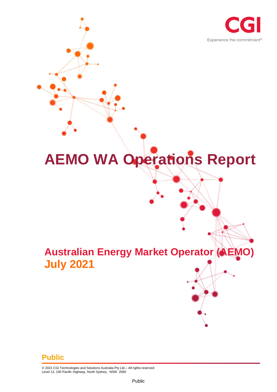

# **AEMO WA Operations Report**

# **Australian Energy Market Operator (AEMO) July 2021**

#### **Public**

© 2021 CGI Technologies and Solutions Australia Pty Ltd.– All rights reserved Level 13, 100 Pacific Highway, North Sydney. NSW 2060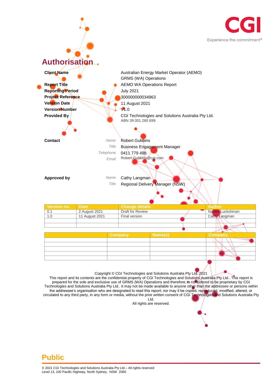



This report and its contents are the confidential property of CGI Technologies and Solutions Australia Pty Ltd.. This report is prepared for the sole and exclusive use of GRMS (WA) Operations and therefore, is considered to be proprietary by CGI Technologies and Solutions Australia Pty Ltd.. It may not be made available to anyone other than the addressee or persons within the addressee's organisation who are designated to read this report; nor may it be copied, reproduced, modified, altered, or circulated to any third party, in any form or media, without the prior written consent of CGI Technologies and Solutions Australia Pty Ltd.

All rights are reserved.

#### **Public**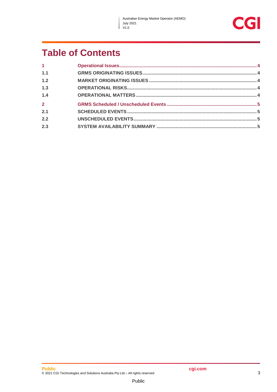$\mathbf{I}$ 



## **Table of Contents**

| $\mathbf{1}$   |  |
|----------------|--|
| 1.1            |  |
| 1.2            |  |
| 1.3            |  |
| 1.4            |  |
| $\overline{2}$ |  |
| 2.1            |  |
| 2.2            |  |
| 2.3            |  |
|                |  |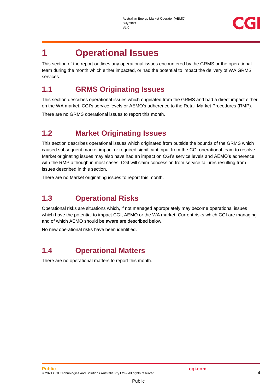

### <span id="page-3-0"></span>**1 Operational Issues**

This section of the report outlines any operational issues encountered by the GRMS or the operational team during the month which either impacted, or had the potential to impact the delivery of WA GRMS services.

#### <span id="page-3-1"></span>**1.1 GRMS Originating Issues**

This section describes operational issues which originated from the GRMS and had a direct impact either on the WA market, CGI's service levels or AEMO's adherence to the Retail Market Procedures (RMP).

There are no GRMS operational issues to report this month.

#### <span id="page-3-2"></span>**1.2 Market Originating Issues**

This section describes operational issues which originated from outside the bounds of the GRMS which caused subsequent market impact or required significant input from the CGI operational team to resolve. Market originating issues may also have had an impact on CGI's service levels and AEMO's adherence with the RMP although in most cases, CGI will claim concession from service failures resulting from issues described in this section.

There are no Market originating issues to report this month.

#### <span id="page-3-3"></span>**1.3 Operational Risks**

Operational risks are situations which, if not managed appropriately may become operational issues which have the potential to impact CGI, AEMO or the WA market. Current risks which CGI are managing and of which AEMO should be aware are described below.

No new operational risks have been identified.

#### <span id="page-3-4"></span>**1.4 Operational Matters**

There are no operational matters to report this month.

Public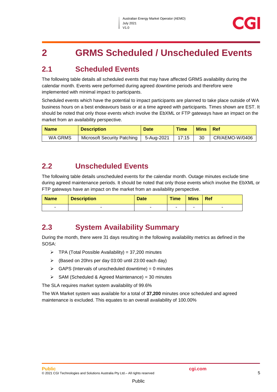## <span id="page-4-0"></span>**2 GRMS Scheduled / Unscheduled Events**

#### <span id="page-4-1"></span>**2.1 Scheduled Events**

The following table details all scheduled events that may have affected GRMS availability during the calendar month. Events were performed during agreed downtime periods and therefore were implemented with minimal impact to participants.

Scheduled events which have the potential to impact participants are planned to take place outside of WA business hours on a best endeavours basis or at a time agreed with participants. Times shown are EST. It should be noted that only those events which involve the EbXML or FTP gateways have an impact on the market from an availability perspective.

| <b>Name</b> | <b>Description</b>          | <b>Date</b> | <b>Time</b> | <b>Mins</b> | - Ref          |
|-------------|-----------------------------|-------------|-------------|-------------|----------------|
| WA GRMS     | Microsoft Security Patching | 5-Aug-2021  | 17:15       | 30          | CR/AEMO-W/0406 |

#### <span id="page-4-2"></span>**2.2 Unscheduled Events**

The following table details unscheduled events for the calendar month. Outage minutes exclude time during agreed maintenance periods. It should be noted that only those events which involve the EbXML or FTP gateways have an impact on the market from an availability perspective.

| <b>Name</b> | <b>Description</b> | <b>Date</b> | <b>Time</b> | <b>Mins</b> | Ref |
|-------------|--------------------|-------------|-------------|-------------|-----|
| -           |                    |             |             |             | -   |

#### <span id="page-4-3"></span>**2.3 System Availability Summary**

During the month, there were 31 days resulting in the following availability metrics as defined in the SOSA:

- $\triangleright$  TPA (Total Possible Availability) = 37,200 minutes
- (Based on 20hrs per day 03:00 until 23:00 each day)
- $\triangleright$  GAPS (Intervals of unscheduled downtime) = 0 minutes
- $\triangleright$  SAM (Scheduled & Agreed Maintenance) = 30 minutes

The SLA requires market system availability of 99.6%

The WA Market system was available for a total of **37,200** minutes once scheduled and agreed maintenance is excluded. This equates to an overall availability of 100.00%